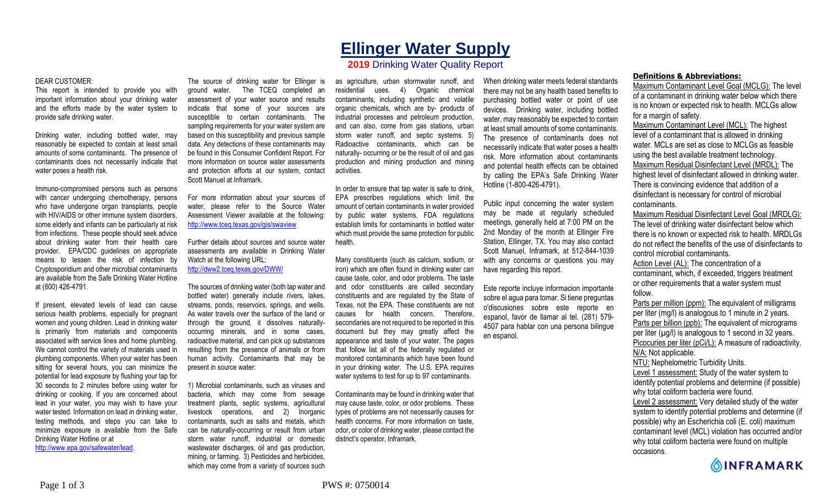# **Ellinger Water Supply**

## **2019** Drinking Water Quality Report

#### DEAR CUSTOMER:

This report is intended to provide you with important information about your drinking water and the efforts made by the water system to provide safe drinking water.

Drinking water, including bottled water, may reasonably be expected to contain at least small amounts of some contaminants. The presence of contaminants does not necessarily indicate that water poses a health risk.

Immuno-compromised persons such as persons with cancer undergoing chemotherapy, persons who have undergone organ transplants, people with HIV/AIDS or other immune system disorders, some elderly and infants can be particularly at risk from infections. These people should seek advice about drinking water from their health care provider. EPA/CDC guidelines on appropriate means to lessen the risk of infection by Cryptosporidium and other microbial contaminants are available from the Safe Drinking Water Hotline at (800) 426-4791.

If present, elevated levels of lead can cause serious health problems, especially for pregnant women and young children. Lead in drinking water is primarily from materials and components associated with service lines and home plumbing. We cannot control the variety of materials used in plumbing components. When your water has been sitting for several hours, you can minimize the potential for lead exposure by flushing your tap for 30 seconds to 2 minutes before using water for drinking or cooking. If you are concerned about lead in your water, you may wish to have your water tested. Information on lead in drinking water, testing methods, and steps you can take to minimize exposure is available from the Safe Drinking Water Hotline or at http://www.epa.gov/safewater/lead.

The source of drinking water for Ellinger is ground water. The TCEQ completed an assessment of your water source and results indicate that some of your sources are susceptible to certain contaminants. The sampling requirements for your water system are based on this susceptibility and previous sample data. Any detections of these contaminants may be found in this Consumer Confident Report. For more information on source water assessments and protection efforts at our system, contact Scott Manuel at Inframark.

For more information about your sources of water, please refer to the Source Water Assessment Viewer available at the following: http://www.tceq.texas.gov/gis/swaview

Further details about sources and source water assessments are available in Drinking Water Watch at the following URL: http://dww2.tceq.texas.gov/DWW/

The sources of drinking water (both tap water and bottled water) generally include rivers, lakes, streams, ponds, reservoirs, springs, and wells. As water travels over the surface of the land or through the ground, it dissolves naturallyoccurring minerals, and in some cases, radioactive material, and can pick up substances resulting from the presence of animals or from human activity. Contaminants that may be present in source water:

1) Microbial contaminants, such as viruses and bacteria, which may come from sewage treatment plants, septic systems, agricultural livestock operations, and 2) Inorganic contaminants, such as salts and metals, which can be naturally-occurring or result from urban storm water runoff, industrial or domestic wastewater discharges, oil and gas production, mining, or farming. 3) Pesticides and herbicides, which may come from a variety of sources such

as agriculture, urban stormwater runoff, and residential uses. 4) Organic chemical contaminants, including synthetic and volatile organic chemicals, which are by- products of industrial processes and petroleum production, and can also, come from gas stations, urban storm water runoff, and septic systems. 5) Radioactive contaminants, which can be naturally- occurring or be the result of oil and gas production and mining production and mining activities.

In order to ensure that tap water is safe to drink, EPA prescribes regulations which limit the amount of certain contaminants in water provided by public water systems. FDA regulations establish limits for contaminants in bottled water which must provide the same protection for public health.

Many constituents (such as calcium, sodium, or iron) which are often found in drinking water can cause taste, color, and odor problems. The taste and odor constituents are called secondary constituents and are regulated by the State of Texas, not the EPA. These constituents are not causes for health concern. Therefore, secondaries are not required to be reported in this document but they may greatly affect the appearance and taste of your water. The pages that follow list all of the federally regulated or monitored contaminants which have been found in your drinking water. The U.S. EPA requires water systems to test for up to 97 contaminants.

Contaminants may be found in drinking water that may cause taste, color, or odor problems. These types of problems are not necessarily causes for health concerns. For more information on taste, odor, or color of drinking water, please contact the district's operator, Inframark.

When drinking water meets federal standards there may not be any health based benefits to purchasing bottled water or point of use devices. Drinking water, including bottled water, may reasonably be expected to contain at least small amounts of some contaminants. The presence of contaminants does not necessarily indicate that water poses a health risk. More information about contaminants and potential health effects can be obtained by calling the EPA's Safe Drinking Water Hotline (1-800-426-4791).

Public input concerning the water system may be made at regularly scheduled meetings, generally held at 7:00 PM on the 2nd Monday of the month at Ellinger Fire Station, Ellinger, TX. You may also contact Scott Manuel, Inframark, at 512-844-1039 with any concerns or questions you may have regarding this report.

Este reporte incluye informacion importante sobre el agua para tomar. Si tiene preguntas o'discusiones sobre este reporte en espanol, favor de llamar al tel. (281) 579- 4507 para hablar con una persona bilingue en espanol.

### **Definitions & Abbreviations:**

Maximum Contaminant Level Goal (MCLG): The level of a contaminant in drinking water below which there is no known or expected risk to health. MCLGs allow for a margin of safety.

Maximum Contaminant Level (MCL): The highest level of a contaminant that is allowed in drinking water. MCLs are set as close to MCLGs as feasible using the best available treatment technology. Maximum Residual Disinfectant Level (MRDL): The highest level of disinfectant allowed in drinking water. There is convincing evidence that addition of a disinfectant is necessary for control of microbial contaminants.

Maximum Residual Disinfectant Level Goal (MRDLG): The level of drinking water disinfectant below which there is no known or expected risk to health. MRDLGs do not reflect the benefits of the use of disinfectants to control microbial contaminants.

Action Level (AL): The concentration of a contaminant, which, if exceeded, triggers treatment or other requirements that a water system must follow.

Parts per million (ppm): The equivalent of milligrams per liter (mg/l) is analogous to 1 minute in 2 years. Parts per billion (ppb): The equivalent of micrograms per liter  $(\mu g/l)$  is analogous to 1 second in 32 years. Picocuries per liter (pCi/L): A measure of radioactivity. N/A: Not applicable. NTU: Nephelometric Turbidity Units. Level 1 assessment: Study of the water system to identify potential problems and determine (if possible)

why total coliform bacteria were found. Level 2 assessment: Very detailed study of the water system to identify potential problems and determine (if possible) why an Escherichia coli (E. coli) maximum contaminant level (MCL) violation has occurred and/or why total coliform bacteria were found on multiple occasions.

**OINFRAMARK**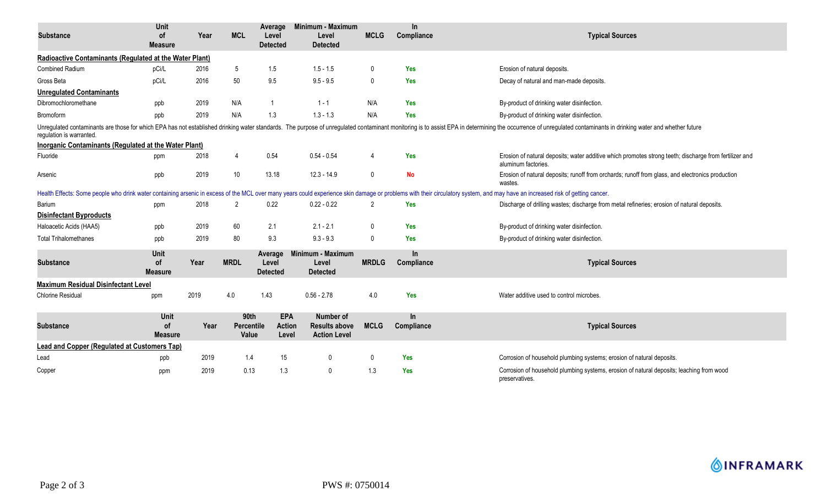|                                                                                                                                                                                                                                                            | Unit                                |      |                             | Average                              | Minimum - Maximum                                        |                | In.               |                                                                                                                                                                                                                               |  |
|------------------------------------------------------------------------------------------------------------------------------------------------------------------------------------------------------------------------------------------------------------|-------------------------------------|------|-----------------------------|--------------------------------------|----------------------------------------------------------|----------------|-------------------|-------------------------------------------------------------------------------------------------------------------------------------------------------------------------------------------------------------------------------|--|
| <b>Substance</b>                                                                                                                                                                                                                                           | <b>of</b><br><b>Measure</b>         | Year | <b>MCL</b>                  | Level<br><b>Detected</b>             | Level<br><b>Detected</b>                                 | <b>MCLG</b>    | Compliance        | <b>Typical Sources</b>                                                                                                                                                                                                        |  |
| Radioactive Contaminants (Regulated at the Water Plant)                                                                                                                                                                                                    |                                     |      |                             |                                      |                                                          |                |                   |                                                                                                                                                                                                                               |  |
| <b>Combined Radium</b>                                                                                                                                                                                                                                     | pCi/L                               | 2016 | $5\phantom{.0}$             | 1.5                                  | $1.5 - 1.5$                                              | $\mathbf 0$    | Yes               | Erosion of natural deposits.                                                                                                                                                                                                  |  |
| Gross Beta                                                                                                                                                                                                                                                 | pCi/L                               | 2016 | 50                          | 9.5                                  | $9.5 - 9.5$                                              | 0              | Yes               | Decay of natural and man-made deposits.                                                                                                                                                                                       |  |
| <b>Unregulated Contaminants</b>                                                                                                                                                                                                                            |                                     |      |                             |                                      |                                                          |                |                   |                                                                                                                                                                                                                               |  |
| Dibromochloromethane                                                                                                                                                                                                                                       | ppb                                 | 2019 | N/A                         |                                      | $1 - 1$                                                  | N/A            | <b>Yes</b>        | By-product of drinking water disinfection.                                                                                                                                                                                    |  |
| Bromoform                                                                                                                                                                                                                                                  | ppb                                 | 2019 | N/A                         | 1.3                                  | $1.3 - 1.3$                                              | N/A            | <b>Yes</b>        | By-product of drinking water disinfection.                                                                                                                                                                                    |  |
| Unregulated contaminants are those for which EPA has not established drinking water standards. The purpose of unregulated contaminant monitoring is to assist EPA in determining the occurrence of unregulated contaminants in<br>requlation is warranted. |                                     |      |                             |                                      |                                                          |                |                   |                                                                                                                                                                                                                               |  |
| Inorganic Contaminants (Regulated at the Water Plant)                                                                                                                                                                                                      |                                     |      |                             |                                      |                                                          |                |                   |                                                                                                                                                                                                                               |  |
| Fluoride                                                                                                                                                                                                                                                   | ppm                                 | 2018 | $\overline{4}$              | 0.54                                 | $0.54 - 0.54$                                            | $\overline{4}$ | Yes               | Erosion of natural deposits; water additive which promotes strong teeth; discharge from fertilizer and<br>aluminum factories.                                                                                                 |  |
| Arsenic                                                                                                                                                                                                                                                    | ppb                                 | 2019 | 10 <sup>°</sup>             | 13.18                                | $12.3 - 14.9$                                            | $\mathbf 0$    | No                | Erosion of natural deposits; runoff from orchards; runoff from glass, and electronics production<br>wastes.                                                                                                                   |  |
|                                                                                                                                                                                                                                                            |                                     |      |                             |                                      |                                                          |                |                   | Health Effects: Some people who drink water containing arsenic in excess of the MCL over many years could experience skin damage or problems with their circulatory system, and may have an increased risk of getting cancer. |  |
| Barium                                                                                                                                                                                                                                                     | ppm                                 | 2018 | $\overline{2}$              | 0.22                                 | $0.22 - 0.22$                                            | $\overline{2}$ | Yes               | Discharge of drilling wastes; discharge from metal refineries; erosion of natural deposits.                                                                                                                                   |  |
| <b>Disinfectant Byproducts</b>                                                                                                                                                                                                                             |                                     |      |                             |                                      |                                                          |                |                   |                                                                                                                                                                                                                               |  |
| Haloacetic Acids (HAA5)                                                                                                                                                                                                                                    | ppb                                 | 2019 | 60                          | 2.1                                  | $2.1 - 2.1$                                              | $\mathbf 0$    | Yes               | By-product of drinking water disinfection.                                                                                                                                                                                    |  |
| <b>Total Trihalomethanes</b>                                                                                                                                                                                                                               | ppb                                 | 2019 | 80                          | 9.3                                  | $9.3 - 9.3$                                              | $\mathbf 0$    | Yes               | By-product of drinking water disinfection.                                                                                                                                                                                    |  |
| <b>Substance</b>                                                                                                                                                                                                                                           | Unit<br>0f<br><b>Measure</b>        | Year | <b>MRDL</b>                 | Average<br>Level<br><b>Detected</b>  | Minimum - Maximum<br>Level<br><b>Detected</b>            | <b>MRDLG</b>   | In.<br>Compliance | <b>Typical Sources</b>                                                                                                                                                                                                        |  |
| <b>Maximum Residual Disinfectant Level</b>                                                                                                                                                                                                                 |                                     |      |                             |                                      |                                                          |                |                   |                                                                                                                                                                                                                               |  |
| <b>Chlorine Residual</b>                                                                                                                                                                                                                                   | ppm                                 | 2019 | 4.0                         | 1.43                                 | $0.56 - 2.78$                                            | 4.0            | Yes               | Water additive used to control microbes.                                                                                                                                                                                      |  |
| <b>Substance</b>                                                                                                                                                                                                                                           | Unit<br><b>of</b><br><b>Measure</b> | Year | 90th<br>Percentile<br>Value | <b>EPA</b><br><b>Action</b><br>Level | Number of<br><b>Results above</b><br><b>Action Level</b> | <b>MCLG</b>    | In.<br>Compliance | <b>Typical Sources</b>                                                                                                                                                                                                        |  |
| <b>Lead and Copper (Regulated at Customers Tap)</b>                                                                                                                                                                                                        |                                     |      |                             |                                      |                                                          |                |                   |                                                                                                                                                                                                                               |  |
| Lead                                                                                                                                                                                                                                                       | ppb                                 | 2019 | 1.4                         | 15                                   | 0                                                        | $\mathbf 0$    | Yes               | Corrosion of household plumbing systems; erosion of natural deposits.                                                                                                                                                         |  |
| Copper                                                                                                                                                                                                                                                     | ppm                                 | 2019 | 0.13                        | 1.3                                  | $\mathbf 0$                                              | 1.3            | Yes               | Corrosion of household plumbing systems, erosion of natural deposits; leaching from wood<br>preservatives.                                                                                                                    |  |